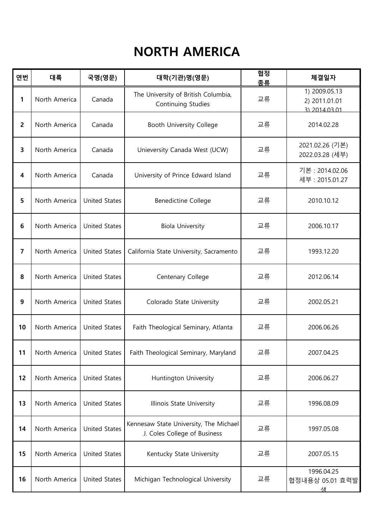## NORTH AMERICA

| 연번 | 대륙            | 국명(영문)               | 대학(기관)명(영문)                                                            | 협정<br>종류 | 체결일자                                            |
|----|---------------|----------------------|------------------------------------------------------------------------|----------|-------------------------------------------------|
| 1  | North America | Canada               | The University of British Columbia,<br>Continuing Studies              | 교류       | 1) 2009.05.13<br>2) 2011.01.01<br>3) 2014 03 01 |
| 2  | North America | Canada               | Booth University College                                               | 교류       | 2014.02.28                                      |
| 3  | North America | Canada               | Unieversity Canada West (UCW)                                          | 교류       | 2021.02.26 (기본)<br>2022.03.28 (세부)              |
| 4  | North America | Canada               | University of Prince Edward Island                                     | 교류       | 기본 : 2014.02.06<br>세부 : 2015.01.27              |
| 5  | North America | <b>United States</b> | <b>Benedictine College</b>                                             | 교류       | 2010.10.12                                      |
| 6  | North America | <b>United States</b> | <b>Biola University</b>                                                | 교류       | 2006.10.17                                      |
| 7  | North America | <b>United States</b> | California State University, Sacramento                                | 교류       | 1993.12.20                                      |
| 8  | North America | <b>United States</b> | Centenary College                                                      | 교류       | 2012.06.14                                      |
| 9  | North America | <b>United States</b> | Colorado State University                                              | 교류       | 2002.05.21                                      |
| 10 | North America | <b>United States</b> | Faith Theological Seminary, Atlanta                                    | 교류       | 2006.06.26                                      |
| 11 | North America | <b>United States</b> | Faith Theological Seminary, Maryland                                   | 교류       | 2007.04.25                                      |
| 12 | North America | <b>United States</b> | Huntington University                                                  | 교류       | 2006.06.27                                      |
| 13 | North America | <b>United States</b> | Illinois State University                                              | 교류       | 1996.08.09                                      |
| 14 | North America | <b>United States</b> | Kennesaw State University, The Michael<br>J. Coles College of Business | 교류       | 1997.05.08                                      |
| 15 | North America | <b>United States</b> | Kentucky State University                                              | 교류       | 2007.05.15                                      |
| 16 | North America | <b>United States</b> | Michigan Technological University                                      | 교류       | 1996.04.25<br>협정내용상 05.01 효력발<br>샛              |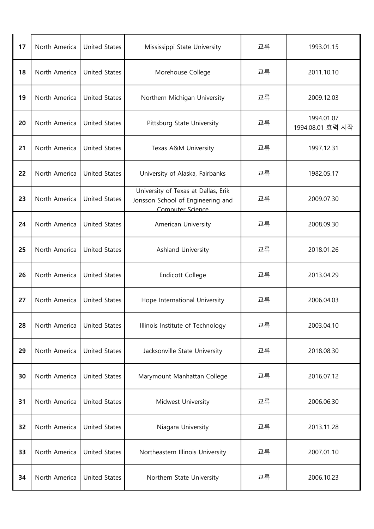| 17 | North America | <b>United States</b> | Mississippi State University                                                                 | 교류 | 1993.01.15                     |
|----|---------------|----------------------|----------------------------------------------------------------------------------------------|----|--------------------------------|
| 18 | North America | <b>United States</b> | Morehouse College                                                                            | 교류 | 2011.10.10                     |
| 19 | North America | <b>United States</b> | Northern Michigan University                                                                 | 교류 | 2009.12.03                     |
| 20 | North America | <b>United States</b> | Pittsburg State University                                                                   | 교류 | 1994.01.07<br>1994.08.01 효력 시작 |
| 21 | North America | <b>United States</b> | Texas A&M University                                                                         | 교류 | 1997.12.31                     |
| 22 | North America | <b>United States</b> | University of Alaska, Fairbanks                                                              | 교류 | 1982.05.17                     |
| 23 | North America | <b>United States</b> | University of Texas at Dallas, Erik<br>Jonsson School of Engineering and<br>Computer Science | 교류 | 2009.07.30                     |
| 24 | North America | <b>United States</b> | American University                                                                          | 교류 | 2008.09.30                     |
| 25 | North America | <b>United States</b> | Ashland University                                                                           | 교류 | 2018.01.26                     |
| 26 | North America | <b>United States</b> | <b>Endicott College</b>                                                                      | 교류 | 2013.04.29                     |
| 27 | North America | <b>United States</b> | Hope International University                                                                | 교류 | 2006.04.03                     |
| 28 | North America | <b>United States</b> | Illinois Institute of Technology                                                             | 교류 | 2003.04.10                     |
| 29 | North America | <b>United States</b> | Jacksonville State University                                                                | 교류 | 2018.08.30                     |
| 30 | North America | <b>United States</b> | Marymount Manhattan College                                                                  | 교류 | 2016.07.12                     |
| 31 | North America | <b>United States</b> | Midwest University                                                                           | 교류 | 2006.06.30                     |
| 32 | North America | <b>United States</b> | Niagara University                                                                           | 교류 | 2013.11.28                     |
| 33 | North America | <b>United States</b> | Northeastern Illinois University                                                             | 교류 | 2007.01.10                     |
| 34 | North America | <b>United States</b> | Northern State University                                                                    | 교류 | 2006.10.23                     |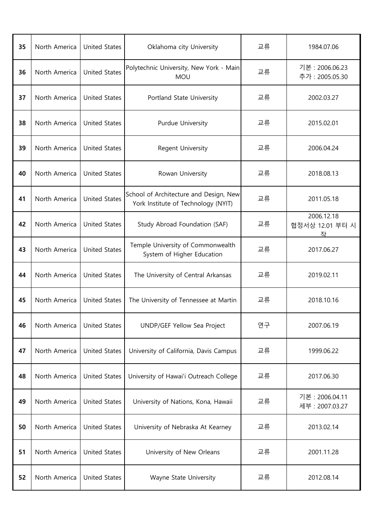| 35 | North America | <b>United States</b> | Oklahoma city University                                                      | 교류 | 1984.07.06                         |
|----|---------------|----------------------|-------------------------------------------------------------------------------|----|------------------------------------|
| 36 | North America | <b>United States</b> | Polytechnic University, New York - Main<br><b>MOU</b>                         | 교류 | 기본 : 2006.06.23<br>추가: 2005.05.30  |
| 37 | North America | <b>United States</b> | Portland State University                                                     | 교류 | 2002.03.27                         |
| 38 | North America | <b>United States</b> | Purdue University                                                             | 교류 | 2015.02.01                         |
| 39 | North America | <b>United States</b> | Regent University                                                             | 교류 | 2006.04.24                         |
| 40 | North America | <b>United States</b> | Rowan University                                                              | 교류 | 2018.08.13                         |
| 41 | North America | <b>United States</b> | School of Architecture and Design, New<br>York Institute of Technology (NYIT) | 교류 | 2011.05.18                         |
| 42 | North America | <b>United States</b> | Study Abroad Foundation (SAF)                                                 | 교류 | 2006.12.18<br>협정서상 12.01 부터 시<br>좌 |
| 43 | North America | <b>United States</b> | Temple University of Commonwealth<br>System of Higher Education               | 교류 | 2017.06.27                         |
| 44 | North America | <b>United States</b> | The University of Central Arkansas                                            | 교류 | 2019.02.11                         |
| 45 | North America | <b>United States</b> | The University of Tennessee at Martin                                         | 교류 | 2018.10.16                         |
| 46 | North America | <b>United States</b> | UNDP/GEF Yellow Sea Project                                                   | 연구 | 2007.06.19                         |
| 47 | North America | <b>United States</b> | University of California, Davis Campus                                        | 교류 | 1999.06.22                         |
| 48 | North America | <b>United States</b> | University of Hawai'i Outreach College                                        | 교류 | 2017.06.30                         |
| 49 | North America | <b>United States</b> | University of Nations, Kona, Hawaii                                           | 교류 | 기본 : 2006.04.11<br>세부 : 2007.03.27 |
| 50 | North America | <b>United States</b> | University of Nebraska At Kearney                                             | 교류 | 2013.02.14                         |
| 51 | North America | <b>United States</b> | University of New Orleans                                                     | 교류 | 2001.11.28                         |
| 52 | North America | <b>United States</b> | Wayne State University                                                        | 교류 | 2012.08.14                         |